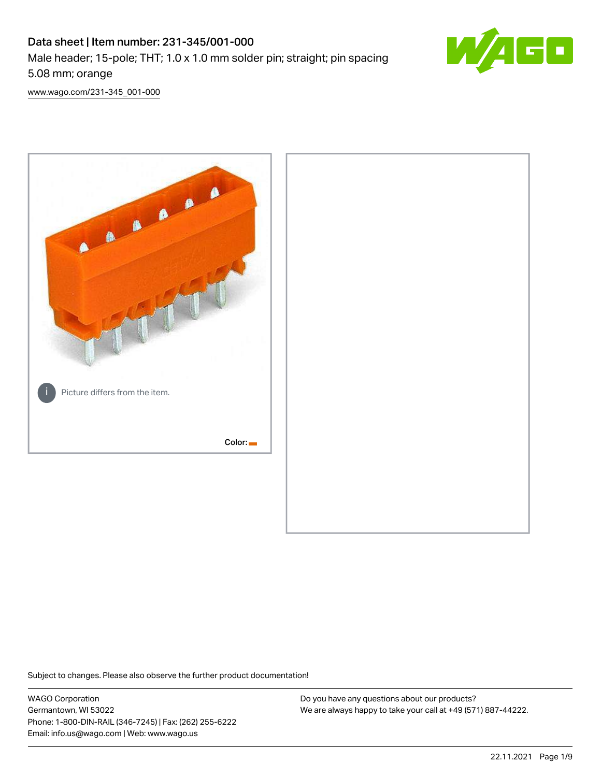## Data sheet | Item number: 231-345/001-000 Male header; 15-pole; THT; 1.0 x 1.0 mm solder pin; straight; pin spacing 5.08 mm; orange



[www.wago.com/231-345\\_001-000](http://www.wago.com/231-345_001-000)



Subject to changes. Please also observe the further product documentation!

WAGO Corporation Germantown, WI 53022 Phone: 1-800-DIN-RAIL (346-7245) | Fax: (262) 255-6222 Email: info.us@wago.com | Web: www.wago.us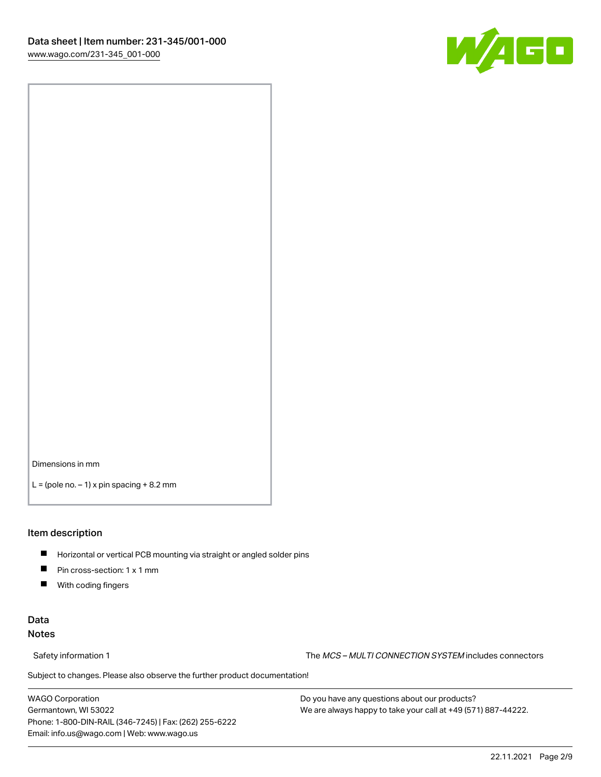

Dimensions in mm

 $L =$  (pole no.  $-1$ ) x pin spacing  $+8.2$  mm

#### Item description

- **Horizontal or vertical PCB mounting via straight or angled solder pins**
- **Pin cross-section: 1 x 1 mm**
- $\blacksquare$ With coding fingers

## Data Notes

Safety information 1 The MCS – MULTI CONNECTION SYSTEM includes connectors

Subject to changes. Please also observe the further product documentation!  $\nu$ 

WAGO Corporation Germantown, WI 53022 Phone: 1-800-DIN-RAIL (346-7245) | Fax: (262) 255-6222 Email: info.us@wago.com | Web: www.wago.us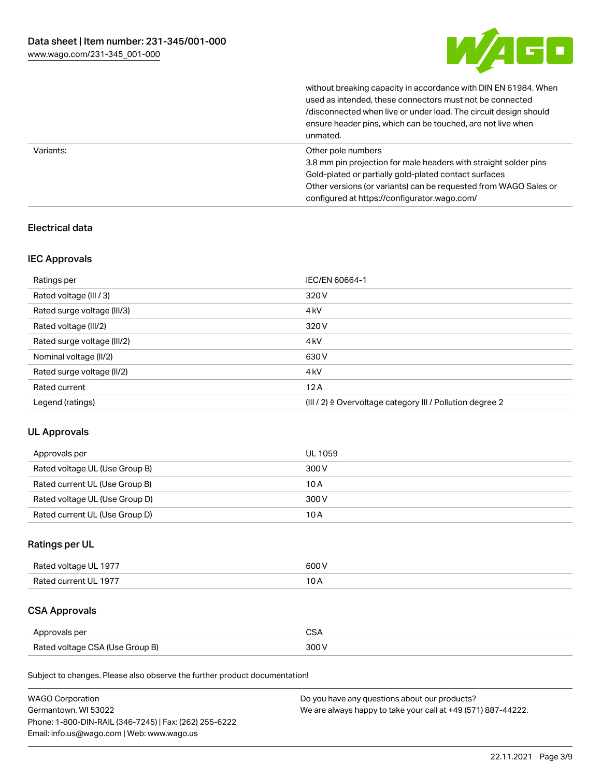

without breaking capacity in accordance with DIN EN 61984. When

|           | used as intended, these connectors must not be connected<br>/disconnected when live or under load. The circuit design should<br>ensure header pins, which can be touched, are not live when<br>unmated.                                                             |
|-----------|---------------------------------------------------------------------------------------------------------------------------------------------------------------------------------------------------------------------------------------------------------------------|
| Variants: | Other pole numbers<br>3.8 mm pin projection for male headers with straight solder pins<br>Gold-plated or partially gold-plated contact surfaces<br>Other versions (or variants) can be requested from WAGO Sales or<br>configured at https://configurator.wago.com/ |

## Electrical data

## IEC Approvals

| Ratings per                 | IEC/EN 60664-1                                            |
|-----------------------------|-----------------------------------------------------------|
| Rated voltage (III / 3)     | 320 V                                                     |
| Rated surge voltage (III/3) | 4 <sub>k</sub> V                                          |
| Rated voltage (III/2)       | 320 V                                                     |
| Rated surge voltage (III/2) | 4 <sub>k</sub> V                                          |
| Nominal voltage (II/2)      | 630 V                                                     |
| Rated surge voltage (II/2)  | 4 <sub>k</sub> V                                          |
| Rated current               | 12A                                                       |
| Legend (ratings)            | (III / 2) ≙ Overvoltage category III / Pollution degree 2 |

## UL Approvals

| Approvals per                  | UL 1059 |
|--------------------------------|---------|
| Rated voltage UL (Use Group B) | 300 V   |
| Rated current UL (Use Group B) | 10 A    |
| Rated voltage UL (Use Group D) | 300 V   |
| Rated current UL (Use Group D) | 10 A    |

## Ratings per UL

| Rated voltage UL 1977 | 600 V |
|-----------------------|-------|
| Rated current UL 1977 |       |

## CSA Approvals

| Approvals per                   | ~~    |
|---------------------------------|-------|
| Rated voltage CSA (Use Group B) | 3UU 1 |

Subject to changes. Please also observe the further product documentation!

| <b>WAGO Corporation</b>                                | Do you have any questions about our products?                 |
|--------------------------------------------------------|---------------------------------------------------------------|
| Germantown, WI 53022                                   | We are always happy to take your call at +49 (571) 887-44222. |
| Phone: 1-800-DIN-RAIL (346-7245)   Fax: (262) 255-6222 |                                                               |
| Email: info.us@wago.com   Web: www.wago.us             |                                                               |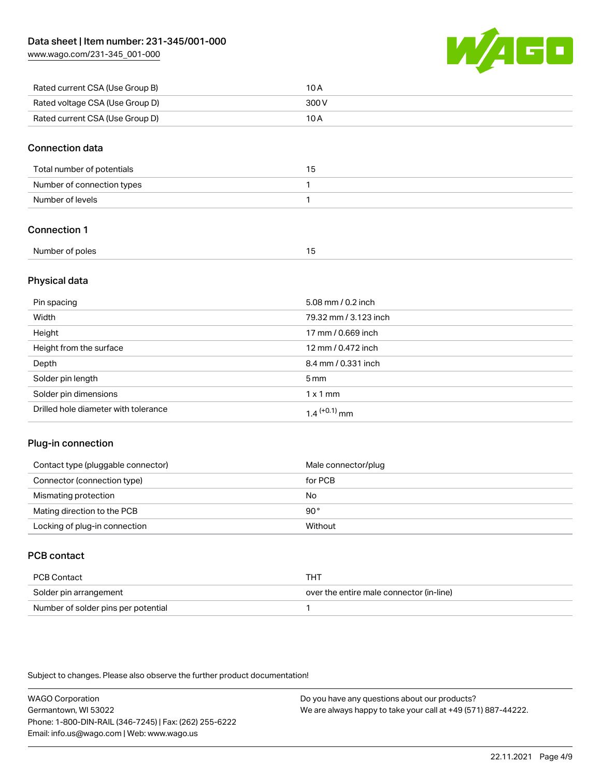[www.wago.com/231-345\\_001-000](http://www.wago.com/231-345_001-000)



| Rated current CSA (Use Group B) | 10 A  |
|---------------------------------|-------|
| Rated voltage CSA (Use Group D) | 300 V |
| Rated current CSA (Use Group D) | 10 A  |

### Connection data

| Total number of potentials | 15 |
|----------------------------|----|
| Number of connection types |    |
| Number of levels           |    |

## Connection 1

| Number of poles |  |
|-----------------|--|
|                 |  |

## Physical data

| Pin spacing                          | 5.08 mm / 0.2 inch    |
|--------------------------------------|-----------------------|
| Width                                | 79.32 mm / 3.123 inch |
| Height                               | 17 mm / 0.669 inch    |
| Height from the surface              | 12 mm / 0.472 inch    |
| Depth                                | 8.4 mm / 0.331 inch   |
| Solder pin length                    | $5 \,\mathrm{mm}$     |
| Solder pin dimensions                | $1 \times 1$ mm       |
| Drilled hole diameter with tolerance | $1.4$ $(+0.1)$ mm     |

## Plug-in connection

| Contact type (pluggable connector) | Male connector/plug |
|------------------------------------|---------------------|
| Connector (connection type)        | for PCB             |
| Mismating protection               | No                  |
| Mating direction to the PCB        | $90^{\circ}$        |
| Locking of plug-in connection      | Without             |

## PCB contact

| PCB Contact                         | THT                                      |
|-------------------------------------|------------------------------------------|
| Solder pin arrangement              | over the entire male connector (in-line) |
| Number of solder pins per potential |                                          |

Subject to changes. Please also observe the further product documentation!

WAGO Corporation Germantown, WI 53022 Phone: 1-800-DIN-RAIL (346-7245) | Fax: (262) 255-6222 Email: info.us@wago.com | Web: www.wago.us Do you have any questions about our products? We are always happy to take your call at +49 (571) 887-44222.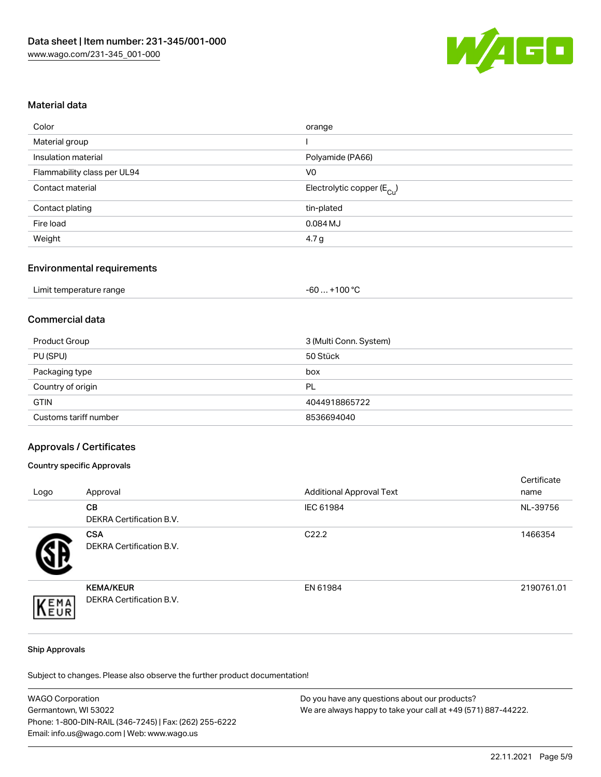

### Material data

| Color                       | orange                                 |
|-----------------------------|----------------------------------------|
| Material group              |                                        |
| Insulation material         | Polyamide (PA66)                       |
| Flammability class per UL94 | V <sub>0</sub>                         |
| Contact material            | Electrolytic copper (E <sub>Cu</sub> ) |
| Contact plating             | tin-plated                             |
| Fire load                   | 0.084 MJ                               |
| Weight                      | 4.7 <sub>g</sub>                       |

## Environmental requirements

| Limit temperature range | $+100 °C$<br>-60 |
|-------------------------|------------------|
|-------------------------|------------------|

## Commercial data

| Product Group         | 3 (Multi Conn. System) |
|-----------------------|------------------------|
| PU (SPU)              | 50 Stück               |
| Packaging type        | box                    |
| Country of origin     | PL                     |
| <b>GTIN</b>           | 4044918865722          |
| Customs tariff number | 8536694040             |

#### Approvals / Certificates

#### Country specific Approvals

| Logo | Approval                                            | <b>Additional Approval Text</b> | Certificate<br>name |
|------|-----------------------------------------------------|---------------------------------|---------------------|
|      | <b>CB</b><br>DEKRA Certification B.V.               | IEC 61984                       | NL-39756            |
|      | <b>CSA</b><br>DEKRA Certification B.V.              | C <sub>22.2</sub>               | 1466354             |
| EMA  | <b>KEMA/KEUR</b><br><b>DEKRA Certification B.V.</b> | EN 61984                        | 2190761.01          |

#### Ship Approvals

Subject to changes. Please also observe the further product documentation!

| <b>WAGO Corporation</b>                                | Do you have any questions about our products?                 |
|--------------------------------------------------------|---------------------------------------------------------------|
| Germantown, WI 53022                                   | We are always happy to take your call at +49 (571) 887-44222. |
| Phone: 1-800-DIN-RAIL (346-7245)   Fax: (262) 255-6222 |                                                               |
| Email: info.us@wago.com   Web: www.wago.us             |                                                               |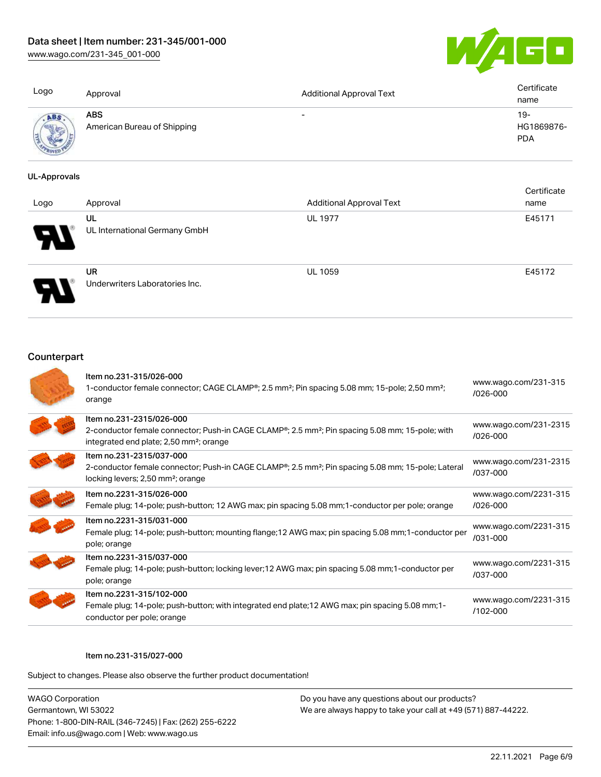[www.wago.com/231-345\\_001-000](http://www.wago.com/231-345_001-000)



| Logo | Approval                           | <b>Additional Approval Text</b> | Certificate<br>name               |
|------|------------------------------------|---------------------------------|-----------------------------------|
| ABS  | ABS<br>American Bureau of Shipping | $\overline{\phantom{0}}$        | $19-$<br>HG1869876-<br><b>PDA</b> |

#### UL-Approvals

| Logo | Approval                                    | <b>Additional Approval Text</b> | Certificate<br>name |
|------|---------------------------------------------|---------------------------------|---------------------|
| en T | UL<br>UL International Germany GmbH         | <b>UL 1977</b>                  | E45171              |
|      | <b>UR</b><br>Underwriters Laboratories Inc. | <b>UL 1059</b>                  | E45172              |

## **Counterpart**

| Item no.231-315/026-000<br>1-conductor female connector; CAGE CLAMP®; 2.5 mm <sup>2</sup> ; Pin spacing 5.08 mm; 15-pole; 2,50 mm <sup>2</sup> ;<br>orange                                                  | www.wago.com/231-315<br>$/026 - 000$  |
|-------------------------------------------------------------------------------------------------------------------------------------------------------------------------------------------------------------|---------------------------------------|
| Item no.231-2315/026-000<br>2-conductor female connector; Push-in CAGE CLAMP <sup>®</sup> ; 2.5 mm <sup>2</sup> ; Pin spacing 5.08 mm; 15-pole; with<br>integrated end plate; 2,50 mm <sup>2</sup> ; orange | www.wago.com/231-2315<br>$/026 - 000$ |
| Item no.231-2315/037-000<br>2-conductor female connector; Push-in CAGE CLAMP <sup>®</sup> ; 2.5 mm <sup>2</sup> ; Pin spacing 5.08 mm; 15-pole; Lateral<br>locking levers; 2,50 mm <sup>2</sup> ; orange    | www.wago.com/231-2315<br>/037-000     |
| Item no.2231-315/026-000<br>Female plug; 14-pole; push-button; 12 AWG max; pin spacing 5.08 mm; 1-conductor per pole; orange                                                                                | www.wago.com/2231-315<br>$/026 - 000$ |
| Item no.2231-315/031-000<br>Female plug; 14-pole; push-button; mounting flange; 12 AWG max; pin spacing 5.08 mm; 1-conductor per<br>pole; orange                                                            | www.wago.com/2231-315<br>$/031 - 000$ |
| Item no.2231-315/037-000<br>Female plug; 14-pole; push-button; locking lever; 12 AWG max; pin spacing 5.08 mm; 1-conductor per<br>pole; orange                                                              | www.wago.com/2231-315<br>/037-000     |
| Item no.2231-315/102-000<br>Female plug; 14-pole; push-button; with integrated end plate; 12 AWG max; pin spacing 5.08 mm; 1-<br>conductor per pole; orange                                                 | www.wago.com/2231-315<br>$/102 - 000$ |

#### Item no.231-315/027-000

Subject to changes. Please also observe the further product documentation!

WAGO Corporation Germantown, WI 53022 Phone: 1-800-DIN-RAIL (346-7245) | Fax: (262) 255-6222 Email: info.us@wago.com | Web: www.wago.us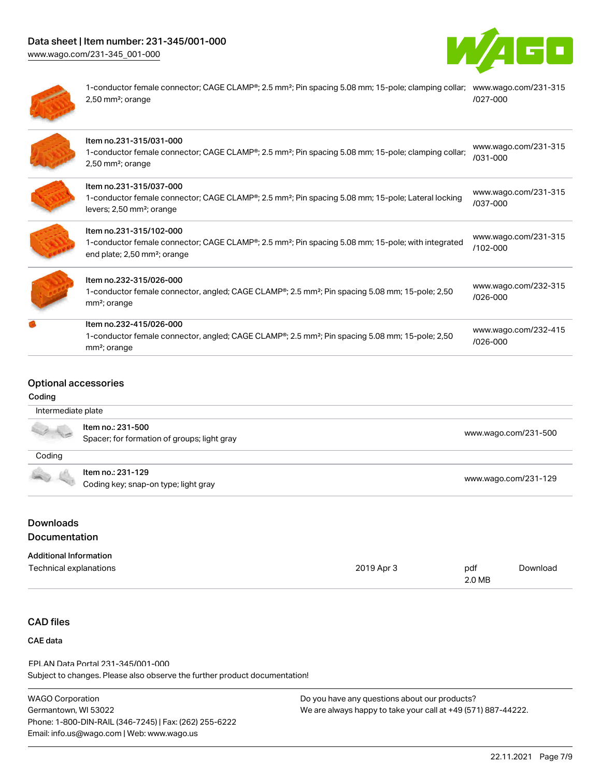## Data sheet | Item number: 231-345/001-000

[www.wago.com/231-345\\_001-000](http://www.wago.com/231-345_001-000)





1-conductor female connector; CAGE CLAMP®; 2.5 mm²; Pin spacing 5.08 mm; 15-pole; clamping collar; [www.wago.com/231-315](https://www.wago.com/231-315/027-000) 2,50 mm²; orange [/027-000](https://www.wago.com/231-315/027-000)

| Item no.231-315/031-000<br>1-conductor female connector; CAGE CLAMP®; 2.5 mm <sup>2</sup> ; Pin spacing 5.08 mm; 15-pole; clamping collar;<br>$2,50$ mm <sup>2</sup> ; orange                   | www.wago.com/231-315<br>/031-000     |
|-------------------------------------------------------------------------------------------------------------------------------------------------------------------------------------------------|--------------------------------------|
| Item no.231-315/037-000<br>1-conductor female connector; CAGE CLAMP <sup>®</sup> ; 2.5 mm <sup>2</sup> ; Pin spacing 5.08 mm; 15-pole; Lateral locking<br>levers; 2,50 mm <sup>2</sup> ; orange | www.wago.com/231-315<br>/037-000     |
| Item no.231-315/102-000<br>1-conductor female connector; CAGE CLAMP®; 2.5 mm <sup>2</sup> ; Pin spacing 5.08 mm; 15-pole; with integrated<br>end plate; 2,50 mm <sup>2</sup> ; orange           | www.wago.com/231-315<br>$/102 - 000$ |
| Item no.232-315/026-000<br>1-conductor female connector, angled; CAGE CLAMP <sup>®</sup> ; 2.5 mm <sup>2</sup> ; Pin spacing 5.08 mm; 15-pole; 2,50<br>mm <sup>2</sup> ; orange                 | www.wago.com/232-315<br>$/026 - 000$ |
| Item no.232-415/026-000<br>1-conductor female connector, angled; CAGE CLAMP®; 2.5 mm <sup>2</sup> ; Pin spacing 5.08 mm; 15-pole; 2,50<br>mm <sup>2</sup> ; orange                              | www.wago.com/232-415<br>/026-000     |

## Optional accessories

#### Coding

| Intermediate plate |                                                                  |                      |
|--------------------|------------------------------------------------------------------|----------------------|
|                    | Item no.: 231-500<br>Spacer; for formation of groups; light gray | www.wago.com/231-500 |
| Coding             |                                                                  |                      |
|                    | Item no.: 231-129                                                |                      |
|                    | Coding key; snap-on type; light gray                             | www.wago.com/231-129 |

# Documentation

| <b>Additional Information</b> |            |     |
|-------------------------------|------------|-----|
| Technical explanations        | 2019 Apr 3 | pdf |

## CAD files

## CAE data

Subject to changes. Please also observe the further product documentation! EPLAN Data Portal 231-345/001-000

| <b>WAGO Corporation</b>                                | Do vou |
|--------------------------------------------------------|--------|
| Germantown, WI 53022                                   | We are |
| Phone: 1-800-DIN-RAIL (346-7245)   Fax: (262) 255-6222 |        |
| Email: info.us@wago.com   Web: www.wago.us             |        |

have any questions about our products? always happy to take your call at +49 (571) 887-44222.

2.0 MB

[Download](https://www.wago.com/global/d/1435602)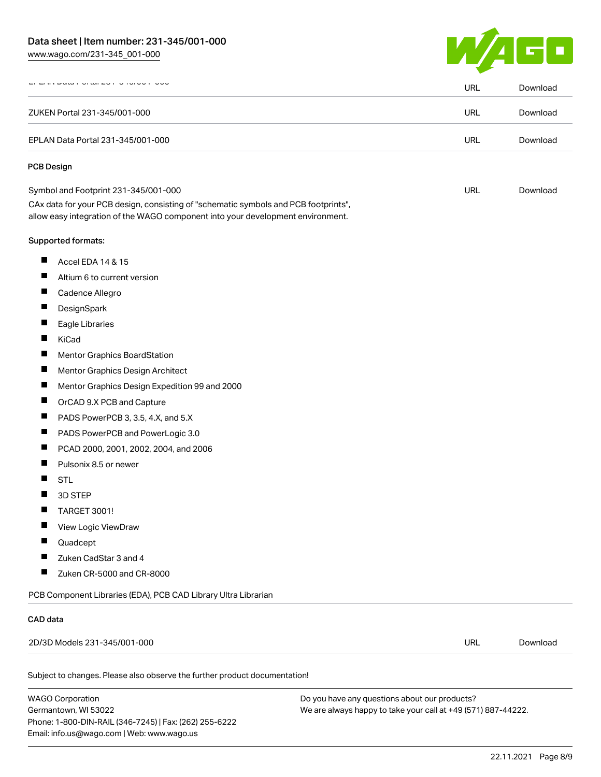[www.wago.com/231-345\\_001-000](http://www.wago.com/231-345_001-000)



|                                                                   |                                                                                                                                                                        | <b>URL</b> | Download             |
|-------------------------------------------------------------------|------------------------------------------------------------------------------------------------------------------------------------------------------------------------|------------|----------------------|
| ZUKEN Portal 231-345/001-000<br>EPLAN Data Portal 231-345/001-000 |                                                                                                                                                                        | <b>URL</b> | Download<br>Download |
|                                                                   |                                                                                                                                                                        | URL        |                      |
| <b>PCB Design</b>                                                 |                                                                                                                                                                        |            |                      |
|                                                                   | Symbol and Footprint 231-345/001-000                                                                                                                                   | <b>URL</b> | Download             |
|                                                                   | CAx data for your PCB design, consisting of "schematic symbols and PCB footprints",<br>allow easy integration of the WAGO component into your development environment. |            |                      |
|                                                                   | Supported formats:                                                                                                                                                     |            |                      |
| ш                                                                 | Accel EDA 14 & 15                                                                                                                                                      |            |                      |
| ш                                                                 | Altium 6 to current version                                                                                                                                            |            |                      |
| ш                                                                 | Cadence Allegro                                                                                                                                                        |            |                      |
| ш                                                                 | DesignSpark                                                                                                                                                            |            |                      |
| ш                                                                 | Eagle Libraries                                                                                                                                                        |            |                      |
| Ш                                                                 | KiCad                                                                                                                                                                  |            |                      |
| ш                                                                 | Mentor Graphics BoardStation                                                                                                                                           |            |                      |
| ш                                                                 | Mentor Graphics Design Architect                                                                                                                                       |            |                      |
| ш                                                                 | Mentor Graphics Design Expedition 99 and 2000                                                                                                                          |            |                      |
| ш                                                                 | OrCAD 9.X PCB and Capture                                                                                                                                              |            |                      |
|                                                                   | PADS PowerPCB 3, 3.5, 4.X, and 5.X                                                                                                                                     |            |                      |
| ш                                                                 | PADS PowerPCB and PowerLogic 3.0                                                                                                                                       |            |                      |
| ш                                                                 | PCAD 2000, 2001, 2002, 2004, and 2006                                                                                                                                  |            |                      |
|                                                                   | Pulsonix 8.5 or newer                                                                                                                                                  |            |                      |
| H.                                                                | <b>STL</b>                                                                                                                                                             |            |                      |
| ш                                                                 | 3D STEP                                                                                                                                                                |            |                      |
| a se                                                              | TARGET 3001!                                                                                                                                                           |            |                      |
|                                                                   | View Logic ViewDraw                                                                                                                                                    |            |                      |
|                                                                   | Quadcept                                                                                                                                                               |            |                      |
|                                                                   | Zuken CadStar 3 and 4                                                                                                                                                  |            |                      |
| ш                                                                 | Zuken CR-5000 and CR-8000                                                                                                                                              |            |                      |
|                                                                   | PCB Component Libraries (EDA), PCB CAD Library Ultra Librarian                                                                                                         |            |                      |
| CAD data                                                          |                                                                                                                                                                        |            |                      |
| 2D/3D Models 231-345/001-000                                      |                                                                                                                                                                        | <b>URL</b> | Download             |

WAGO Corporation Germantown, WI 53022 Phone: 1-800-DIN-RAIL (346-7245) | Fax: (262) 255-6222 Email: info.us@wago.com | Web: www.wago.us